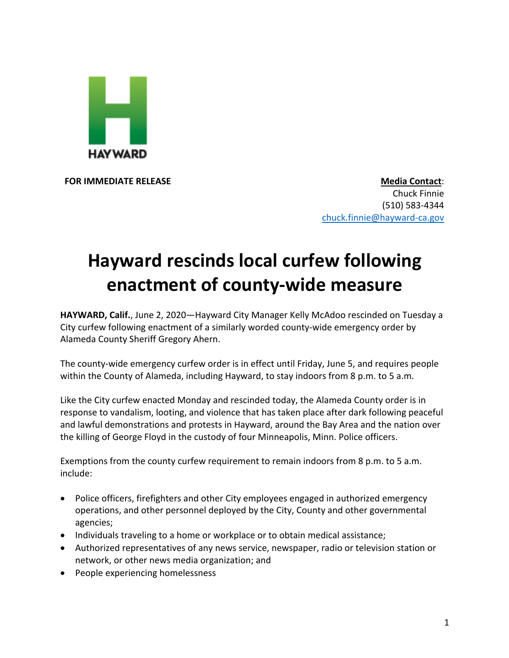

**FOR IMMEDIATE RELEASE Media Contact:** Chuck Finnie (510) 583-4344 chuck.finnie@hayward-ca.gov

## **Hayward rescinds local curfew following enactment of county-wide measure**

**HAYWARD, Calif.**, June 2, 2020—Hayward City Manager Kelly McAdoo rescinded on Tuesday a City curfew following enactment of a similarly worded county-wide emergency order by Alameda County Sheriff Gregory Ahern.

The county-wide emergency curfew order is in effect until Friday, June 5, and requires people within the County of Alameda, including Hayward, to stay indoors from 8 p.m. to 5 a.m.

Like the City curfew enacted Monday and rescinded today, the Alameda County order is in response to vandalism, looting, and violence that has taken place after dark following peaceful and lawful demonstrations and protests in Hayward, around the Bay Area and the nation over the killing of George Floyd in the custody of four Minneapolis, Minn. Police officers.

Exemptions from the county curfew requirement to remain indoors from 8 p.m. to 5 a.m. include:

- Police officers, firefighters and other City employees engaged in authorized emergency operations, and other personnel deployed by the City, County and other governmental agencies;
- Individuals traveling to a home or workplace or to obtain medical assistance;
- Authorized representatives of any news service, newspaper, radio or television station or network, or other news media organization; and
- People experiencing homelessness